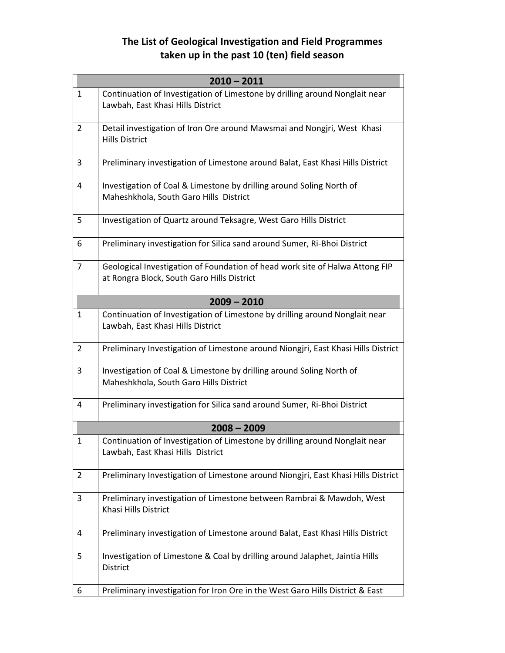## **The List of Geological Investigation and Field Programmes taken up in the past 10 (ten) field season**

| $2010 - 2011$  |                                                                                                                            |
|----------------|----------------------------------------------------------------------------------------------------------------------------|
| $\mathbf{1}$   | Continuation of Investigation of Limestone by drilling around Nonglait near<br>Lawbah, East Khasi Hills District           |
| $\overline{2}$ | Detail investigation of Iron Ore around Mawsmai and Nongjri, West Khasi<br><b>Hills District</b>                           |
| 3              | Preliminary investigation of Limestone around Balat, East Khasi Hills District                                             |
| 4              | Investigation of Coal & Limestone by drilling around Soling North of<br>Maheshkhola, South Garo Hills District             |
| 5              | Investigation of Quartz around Teksagre, West Garo Hills District                                                          |
| 6              | Preliminary investigation for Silica sand around Sumer, Ri-Bhoi District                                                   |
| 7              | Geological Investigation of Foundation of head work site of Halwa Attong FIP<br>at Rongra Block, South Garo Hills District |
|                | $2009 - 2010$                                                                                                              |
| $\mathbf{1}$   | Continuation of Investigation of Limestone by drilling around Nonglait near<br>Lawbah, East Khasi Hills District           |
| $\overline{2}$ | Preliminary Investigation of Limestone around Niongjri, East Khasi Hills District                                          |
| 3              | Investigation of Coal & Limestone by drilling around Soling North of<br>Maheshkhola, South Garo Hills District             |
| 4              | Preliminary investigation for Silica sand around Sumer, Ri-Bhoi District                                                   |
|                | $2008 - 2009$                                                                                                              |
| $\mathbf 1$    | Continuation of Investigation of Limestone by drilling around Nonglait near<br>Lawbah, East Khasi Hills District           |
| $\overline{2}$ | Preliminary Investigation of Limestone around Niongjri, East Khasi Hills District                                          |
| 3              | Preliminary investigation of Limestone between Rambrai & Mawdoh, West<br>Khasi Hills District                              |
| 4              | Preliminary investigation of Limestone around Balat, East Khasi Hills District                                             |
| 5              | Investigation of Limestone & Coal by drilling around Jalaphet, Jaintia Hills<br>District                                   |
| 6              | Preliminary investigation for Iron Ore in the West Garo Hills District & East                                              |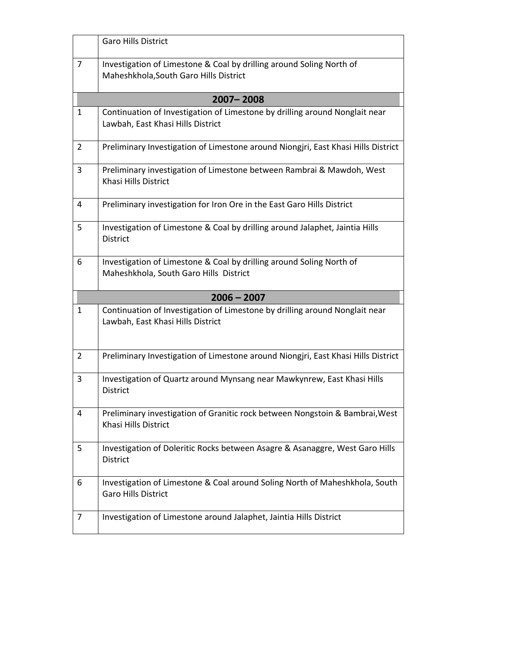|                | <b>Garo Hills District</b>                                                                                       |  |
|----------------|------------------------------------------------------------------------------------------------------------------|--|
| 7              | Investigation of Limestone & Coal by drilling around Soling North of<br>Maheshkhola, South Garo Hills District   |  |
|                | 2007-2008                                                                                                        |  |
| 1              | Continuation of Investigation of Limestone by drilling around Nonglait near<br>Lawbah, East Khasi Hills District |  |
| $\overline{2}$ | Preliminary Investigation of Limestone around Niongjri, East Khasi Hills District                                |  |
| 3              | Preliminary investigation of Limestone between Rambrai & Mawdoh, West<br>Khasi Hills District                    |  |
| 4              | Preliminary investigation for Iron Ore in the East Garo Hills District                                           |  |
| 5              | Investigation of Limestone & Coal by drilling around Jalaphet, Jaintia Hills<br><b>District</b>                  |  |
| 6              | Investigation of Limestone & Coal by drilling around Soling North of<br>Maheshkhola, South Garo Hills District   |  |
| $2006 - 2007$  |                                                                                                                  |  |
|                |                                                                                                                  |  |
| 1              | Continuation of Investigation of Limestone by drilling around Nonglait near<br>Lawbah, East Khasi Hills District |  |
| $\overline{2}$ | Preliminary Investigation of Limestone around Niongjri, East Khasi Hills District                                |  |
| 3              | Investigation of Quartz around Mynsang near Mawkynrew, East Khasi Hills<br><b>District</b>                       |  |
| 4              | Preliminary investigation of Granitic rock between Nongstoin & Bambrai, West<br>Khasi Hills District             |  |
| 5              | Investigation of Doleritic Rocks between Asagre & Asanaggre, West Garo Hills<br>District                         |  |
| 6              | Investigation of Limestone & Coal around Soling North of Maheshkhola, South<br><b>Garo Hills District</b>        |  |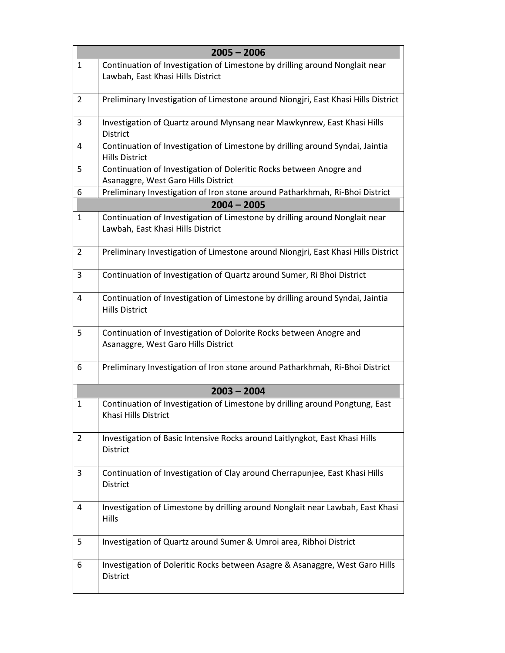| $2005 - 2006$  |                                                                                                                  |  |
|----------------|------------------------------------------------------------------------------------------------------------------|--|
| 1              | Continuation of Investigation of Limestone by drilling around Nonglait near                                      |  |
|                | Lawbah, East Khasi Hills District                                                                                |  |
| $\overline{2}$ | Preliminary Investigation of Limestone around Niongjri, East Khasi Hills District                                |  |
| 3              | Investigation of Quartz around Mynsang near Mawkynrew, East Khasi Hills<br><b>District</b>                       |  |
| 4              | Continuation of Investigation of Limestone by drilling around Syndai, Jaintia                                    |  |
|                | <b>Hills District</b>                                                                                            |  |
| 5              | Continuation of Investigation of Doleritic Rocks between Anogre and                                              |  |
|                | Asanaggre, West Garo Hills District                                                                              |  |
| 6              | Preliminary Investigation of Iron stone around Patharkhmah, Ri-Bhoi District                                     |  |
|                | $2004 - 2005$                                                                                                    |  |
| $\mathbf{1}$   | Continuation of Investigation of Limestone by drilling around Nonglait near<br>Lawbah, East Khasi Hills District |  |
| $\overline{2}$ | Preliminary Investigation of Limestone around Niongjri, East Khasi Hills District                                |  |
| 3              | Continuation of Investigation of Quartz around Sumer, Ri Bhoi District                                           |  |
| 4              | Continuation of Investigation of Limestone by drilling around Syndai, Jaintia<br><b>Hills District</b>           |  |
| 5              | Continuation of Investigation of Dolorite Rocks between Anogre and<br>Asanaggre, West Garo Hills District        |  |
| 6              | Preliminary Investigation of Iron stone around Patharkhmah, Ri-Bhoi District                                     |  |
|                | $2003 - 2004$                                                                                                    |  |
| $\mathbf{1}$   | Continuation of Investigation of Limestone by drilling around Pongtung, East<br>Khasi Hills District             |  |
| $\overline{2}$ | Investigation of Basic Intensive Rocks around Laitlyngkot, East Khasi Hills<br>District                          |  |
| 3              | Continuation of Investigation of Clay around Cherrapunjee, East Khasi Hills<br>District                          |  |
| 4              | Investigation of Limestone by drilling around Nonglait near Lawbah, East Khasi<br>Hills                          |  |
| 5              | Investigation of Quartz around Sumer & Umroi area, Ribhoi District                                               |  |
| 6              | Investigation of Doleritic Rocks between Asagre & Asanaggre, West Garo Hills<br><b>District</b>                  |  |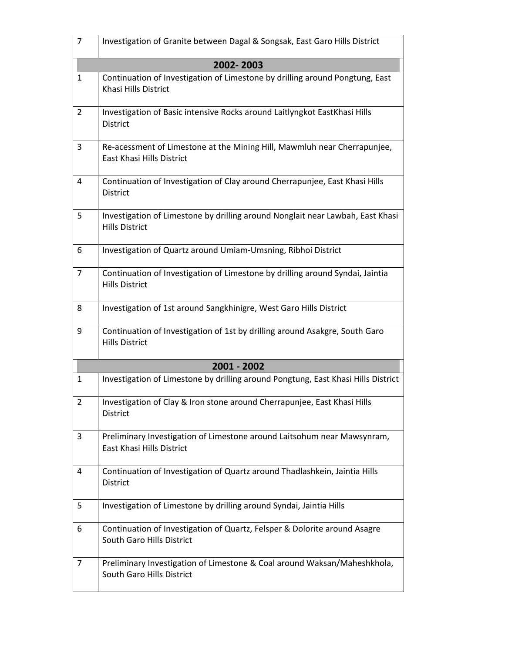| 7              | Investigation of Granite between Dagal & Songsak, East Garo Hills District                                   |
|----------------|--------------------------------------------------------------------------------------------------------------|
|                | 2002-2003                                                                                                    |
| $\mathbf{1}$   | Continuation of Investigation of Limestone by drilling around Pongtung, East<br>Khasi Hills District         |
| $\overline{2}$ | Investigation of Basic intensive Rocks around Laitlyngkot EastKhasi Hills<br>District                        |
| $\overline{3}$ | Re-acessment of Limestone at the Mining Hill, Mawmluh near Cherrapunjee,<br><b>East Khasi Hills District</b> |
| 4              | Continuation of Investigation of Clay around Cherrapunjee, East Khasi Hills<br>District                      |
| 5              | Investigation of Limestone by drilling around Nonglait near Lawbah, East Khasi<br><b>Hills District</b>      |
| 6              | Investigation of Quartz around Umiam-Umsning, Ribhoi District                                                |
| $\overline{7}$ | Continuation of Investigation of Limestone by drilling around Syndai, Jaintia<br><b>Hills District</b>       |
| 8              | Investigation of 1st around Sangkhinigre, West Garo Hills District                                           |
| 9              | Continuation of Investigation of 1st by drilling around Asakgre, South Garo<br><b>Hills District</b>         |
|                | 2001 - 2002                                                                                                  |
| $\mathbf{1}$   | Investigation of Limestone by drilling around Pongtung, East Khasi Hills District                            |
| $\overline{2}$ | Investigation of Clay & Iron stone around Cherrapunjee, East Khasi Hills<br>District                         |
| 3              | Preliminary Investigation of Limestone around Laitsohum near Mawsynram,<br>East Khasi Hills District         |
| 4              | Continuation of Investigation of Quartz around Thadlashkein, Jaintia Hills<br>District                       |
| 5              | Investigation of Limestone by drilling around Syndai, Jaintia Hills                                          |
| 6              | Continuation of Investigation of Quartz, Felsper & Dolorite around Asagre<br>South Garo Hills District       |
| 7              | Preliminary Investigation of Limestone & Coal around Waksan/Maheshkhola,<br>South Garo Hills District        |